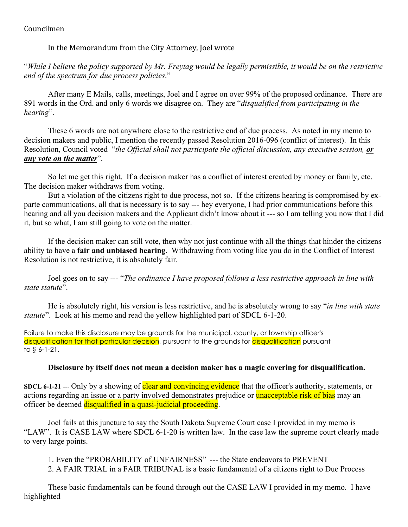## Councilmen

# In the Memorandum from the City Attorney, Joel wrote

"*While I believe the policy supported by Mr. Freytag would be legally permissible, it would be on the restrictive end of the spectrum for due process policies*."

After many E Mails, calls, meetings, Joel and I agree on over 99% of the proposed ordinance. There are 891 words in the Ord. and only 6 words we disagree on. They are "*disqualified from participating in the hearing*".

These 6 words are not anywhere close to the restrictive end of due process. As noted in my memo to decision makers and public, I mention the recently passed Resolution 2016-096 (conflict of interest). In this Resolution, Council voted "*the Official shall not participate the official discussion, any executive session, or any vote on the matter*".

So let me get this right. If a decision maker has a conflict of interest created by money or family, etc. The decision maker withdraws from voting.

But a violation of the citizens right to due process, not so. If the citizens hearing is compromised by exparte communications, all that is necessary is to say --- hey everyone, I had prior communications before this hearing and all you decision makers and the Applicant didn't know about it --- so I am telling you now that I did it, but so what, I am still going to vote on the matter.

If the decision maker can still vote, then why not just continue with all the things that hinder the citizens ability to have a **fair and unbiased hearing**. Withdrawing from voting like you do in the Conflict of Interest Resolution is not restrictive, it is absolutely fair.

Joel goes on to say --- "*The ordinance I have proposed follows a less restrictive approach in line with state statute*".

He is absolutely right, his version is less restrictive, and he is absolutely wrong to say "*in line with state statute*". Look at his memo and read the yellow highlighted part of SDCL 6-1-20.

Failure to make this disclosure may be grounds for the municipal, county, or township officer's disqualification for that particular decision, pursuant to the grounds for disqualification pursuant to § 6-1-21.

### **Disclosure by itself does not mean a decision maker has a magic covering for disqualification.**

**SDCL 6-1-21** --- Only by a showing of clear and convincing evidence that the officer's authority, statements, or actions regarding an issue or a party involved demonstrates prejudice or **unacceptable risk of bias** may an officer be deemed disqualified in a quasi-judicial proceeding.

Joel fails at this juncture to say the South Dakota Supreme Court case I provided in my memo is "LAW". It is CASE LAW where SDCL 6-1-20 is written law. In the case law the supreme court clearly made to very large points.

1. Even the "PROBABILITY of UNFAIRNESS" --- the State endeavors to PREVENT 2. A FAIR TRIAL in a FAIR TRIBUNAL is a basic fundamental of a citizens right to Due Process

These basic fundamentals can be found through out the CASE LAW I provided in my memo. I have highlighted